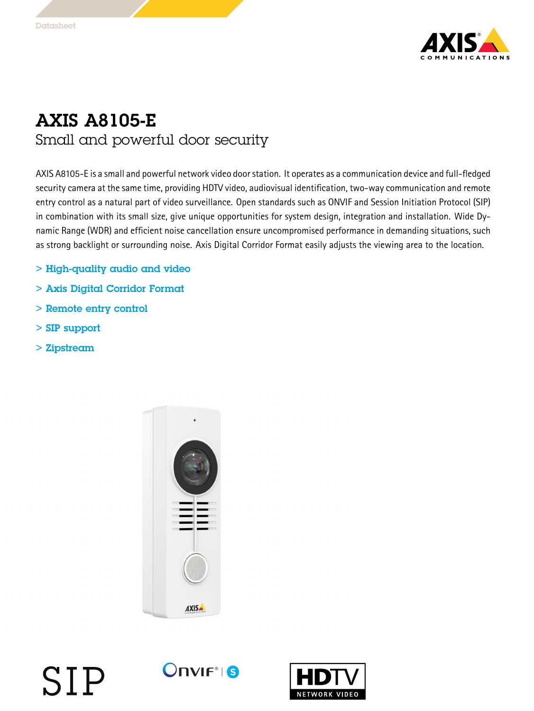

## AXIS A8105-E Small and powerful door security

AXIS A8105-E is <sup>a</sup> small and powerful network video doorstation. It operates as <sup>a</sup> communication device and full-fledged security camera at the same time, providing HDTV video, audiovisual identification, two-way communication and remote entry control as <sup>a</sup> natural part of video surveillance. Open standards such as ONVIF and Session Initiation Protocol (SIP) in combination with its small size, give unique opportunities for system design, integration and installation. Wide Dynamic Range (WDR) and efficient noise cancellation ensure uncompromised performance in demanding situations, such as strong backlight or surrounding noise. Axis Digital Corridor Format easily adjusts the viewing area to the location.

- > High-quality audio and video
- > Axis Digital Corridor Format
- > Remote entry control
- > SIP support
- > Zipstream



## $OnVIF<sup>°</sup>$  is SIP